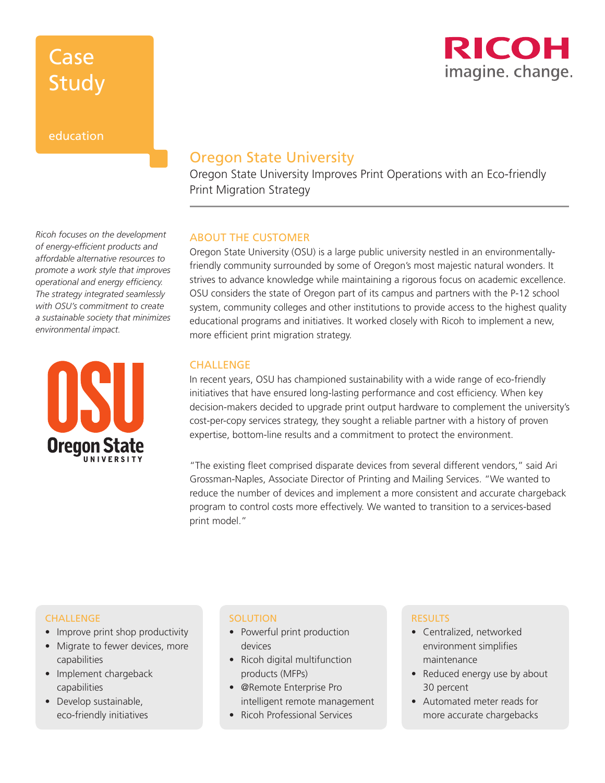## Case Study

### education

*Ricoh focuses on the development of energy-efficient products and affordable alternative resources to promote a work style that improves operational and energy efficiency. The strategy integrated seamlessly with OSU's commitment to create a sustainable society that minimizes environmental impact.* 



### Oregon State University

Oregon State University Improves Print Operations with an Eco-friendly Print Migration Strategy

### ABOUT THE CUSTOMER

Oregon State University (OSU) is a large public university nestled in an environmentallyfriendly community surrounded by some of Oregon's most majestic natural wonders. It strives to advance knowledge while maintaining a rigorous focus on academic excellence. OSU considers the state of Oregon part of its campus and partners with the P-12 school system, community colleges and other institutions to provide access to the highest quality educational programs and initiatives. It worked closely with Ricoh to implement a new, more efficient print migration strategy.

### CHALLENGE

In recent years, OSU has championed sustainability with a wide range of eco-friendly initiatives that have ensured long-lasting performance and cost efficiency. When key decision-makers decided to upgrade print output hardware to complement the university's cost-per-copy services strategy, they sought a reliable partner with a history of proven expertise, bottom-line results and a commitment to protect the environment.

"The existing fleet comprised disparate devices from several different vendors," said Ari Grossman-Naples, Associate Director of Printing and Mailing Services. "We wanted to reduce the number of devices and implement a more consistent and accurate chargeback program to control costs more effectively. We wanted to transition to a services-based print model."

#### CHALLENGE

- Improve print shop productivity
- Migrate to fewer devices, more capabilities
- Implement chargeback capabilities
- Develop sustainable, eco-friendly initiatives

### **SOLUTION**

- Powerful print production devices
- Ricoh digital multifunction products (MFPs)
- @Remote Enterprise Pro intelligent remote management
- Ricoh Professional Services

#### RESULTS

- Centralized, networked environment simplifies maintenance
- Reduced energy use by about 30 percent
- Automated meter reads for more accurate chargebacks

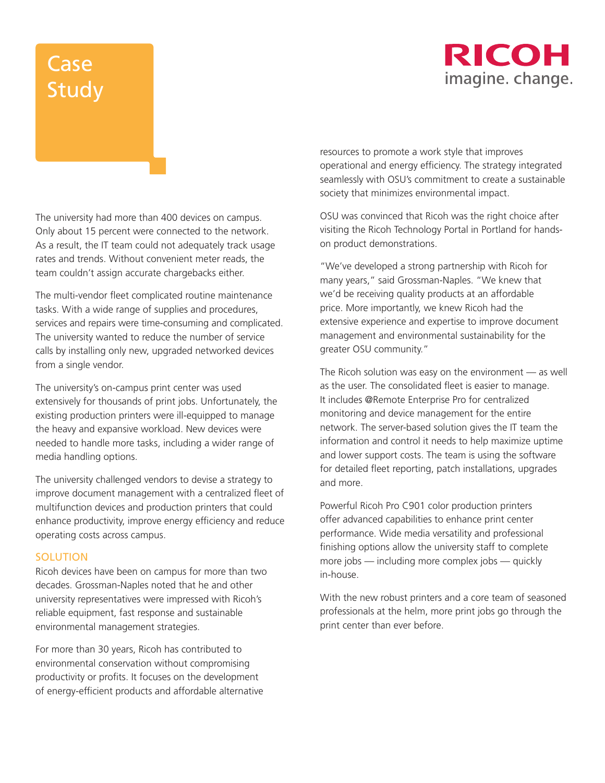### RICOH imagine. change.

# Case Study

The university had more than 400 devices on campus. Only about 15 percent were connected to the network. As a result, the IT team could not adequately track usage rates and trends. Without convenient meter reads, the team couldn't assign accurate chargebacks either.

The multi-vendor fleet complicated routine maintenance tasks. With a wide range of supplies and procedures, services and repairs were time-consuming and complicated. The university wanted to reduce the number of service calls by installing only new, upgraded networked devices from a single vendor.

The university's on-campus print center was used extensively for thousands of print jobs. Unfortunately, the existing production printers were ill-equipped to manage the heavy and expansive workload. New devices were needed to handle more tasks, including a wider range of media handling options.

The university challenged vendors to devise a strategy to improve document management with a centralized fleet of multifunction devices and production printers that could enhance productivity, improve energy efficiency and reduce operating costs across campus.

### **SOLUTION**

Ricoh devices have been on campus for more than two decades. Grossman-Naples noted that he and other university representatives were impressed with Ricoh's reliable equipment, fast response and sustainable environmental management strategies.

For more than 30 years, Ricoh has contributed to environmental conservation without compromising productivity or profits. It focuses on the development of energy-efficient products and affordable alternative resources to promote a work style that improves operational and energy efficiency. The strategy integrated seamlessly with OSU's commitment to create a sustainable society that minimizes environmental impact.

OSU was convinced that Ricoh was the right choice after visiting the Ricoh Technology Portal in Portland for handson product demonstrations.

"We've developed a strong partnership with Ricoh for many years," said Grossman-Naples. "We knew that we'd be receiving quality products at an affordable price. More importantly, we knew Ricoh had the extensive experience and expertise to improve document management and environmental sustainability for the greater OSU community."

The Ricoh solution was easy on the environment — as well as the user. The consolidated fleet is easier to manage. It includes @Remote Enterprise Pro for centralized monitoring and device management for the entire network. The server-based solution gives the IT team the information and control it needs to help maximize uptime and lower support costs. The team is using the software for detailed fleet reporting, patch installations, upgrades and more.

Powerful Ricoh Pro C901 color production printers offer advanced capabilities to enhance print center performance. Wide media versatility and professional finishing options allow the university staff to complete more jobs — including more complex jobs — quickly in-house.

With the new robust printers and a core team of seasoned professionals at the helm, more print jobs go through the print center than ever before.